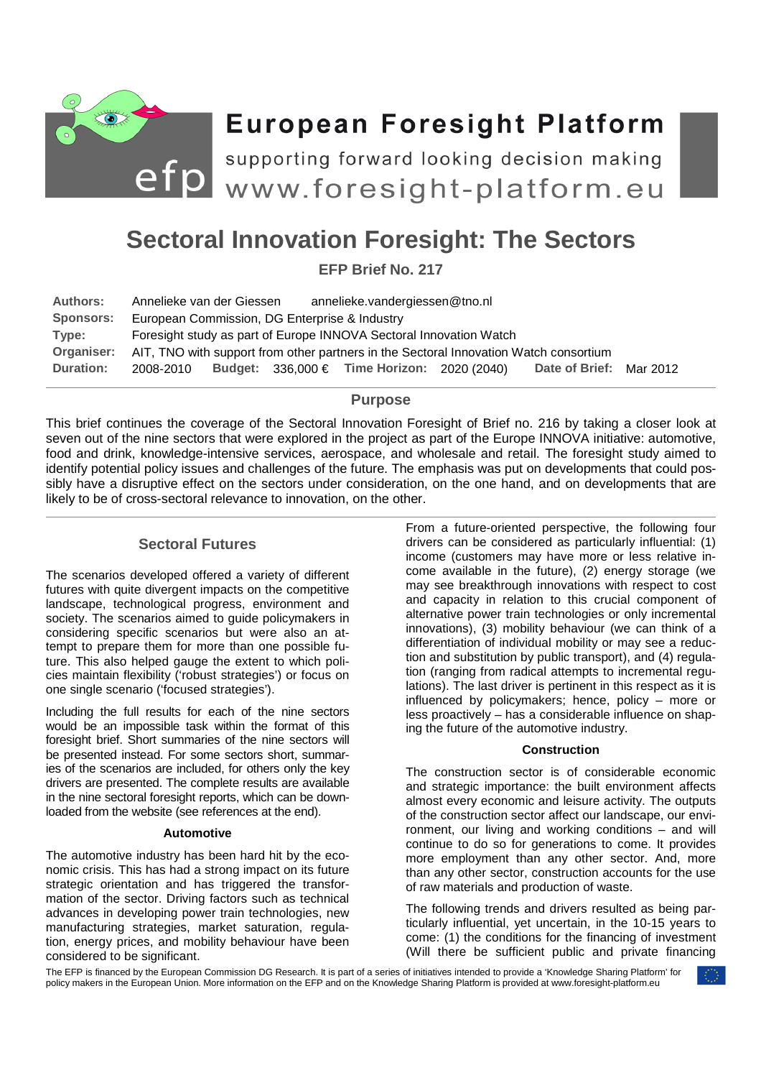

# **European Foresight Platform**

efp supporting forward looking decision making<br>events www.foresight-platform.eu supporting forward looking decision making

# **Sectoral Innovation Foresight: The Sectors**

**EFP Brief No. 217** 

| <b>Authors:</b>  | Annelieke van der Giessen                                                             |  |  | annelieke.vandergiessen@tno.nl                  |  |                       |          |
|------------------|---------------------------------------------------------------------------------------|--|--|-------------------------------------------------|--|-----------------------|----------|
| <b>Sponsors:</b> | European Commission, DG Enterprise & Industry                                         |  |  |                                                 |  |                       |          |
| Type:            | Foresight study as part of Europe INNOVA Sectoral Innovation Watch                    |  |  |                                                 |  |                       |          |
| Organiser:       | AIT, TNO with support from other partners in the Sectoral Innovation Watch consortium |  |  |                                                 |  |                       |          |
| <b>Duration:</b> | 2008-2010                                                                             |  |  | Budget: $336,000 \in$ Time Horizon: 2020 (2040) |  | <b>Date of Brief:</b> | Mar 2012 |

## **Purpose**

This brief continues the coverage of the Sectoral Innovation Foresight of Brief no. 216 by taking a closer look at seven out of the nine sectors that were explored in the project as part of the Europe INNOVA initiative: automotive, food and drink, knowledge-intensive services, aerospace, and wholesale and retail. The foresight study aimed to identify potential policy issues and challenges of the future. The emphasis was put on developments that could possibly have a disruptive effect on the sectors under consideration, on the one hand, and on developments that are likely to be of cross-sectoral relevance to innovation, on the other.

# **Sectoral Futures**

The scenarios developed offered a variety of different futures with quite divergent impacts on the competitive landscape, technological progress, environment and society. The scenarios aimed to guide policymakers in considering specific scenarios but were also an attempt to prepare them for more than one possible future. This also helped gauge the extent to which policies maintain flexibility ('robust strategies') or focus on one single scenario ('focused strategies').

Including the full results for each of the nine sectors would be an impossible task within the format of this foresight brief. Short summaries of the nine sectors will be presented instead. For some sectors short, summaries of the scenarios are included, for others only the key drivers are presented. The complete results are available in the nine sectoral foresight reports, which can be downloaded from the website (see references at the end).

#### **Automotive**

The automotive industry has been hard hit by the economic crisis. This has had a strong impact on its future strategic orientation and has triggered the transformation of the sector. Driving factors such as technical advances in developing power train technologies, new manufacturing strategies, market saturation, regulation, energy prices, and mobility behaviour have been considered to be significant.

From a future-oriented perspective, the following four drivers can be considered as particularly influential: (1) income (customers may have more or less relative income available in the future), (2) energy storage (we may see breakthrough innovations with respect to cost and capacity in relation to this crucial component of alternative power train technologies or only incremental innovations), (3) mobility behaviour (we can think of a differentiation of individual mobility or may see a reduction and substitution by public transport), and (4) regulation (ranging from radical attempts to incremental regulations). The last driver is pertinent in this respect as it is influenced by policymakers; hence, policy – more or less proactively – has a considerable influence on shaping the future of the automotive industry.

#### **Construction**

The construction sector is of considerable economic and strategic importance: the built environment affects almost every economic and leisure activity. The outputs of the construction sector affect our landscape, our environment, our living and working conditions – and will continue to do so for generations to come. It provides more employment than any other sector. And, more than any other sector, construction accounts for the use of raw materials and production of waste.

The following trends and drivers resulted as being particularly influential, yet uncertain, in the 10-15 years to come: (1) the conditions for the financing of investment (Will there be sufficient public and private financing

The EFP is financed by the European Commission DG Research. It is part of a series of initiatives intended to provide a 'Knowledge Sharing Platform' for policy makers in the European Union. More information on the EFP and on the Knowledge Sharing Platform is provided at www.foresight-platform.eu

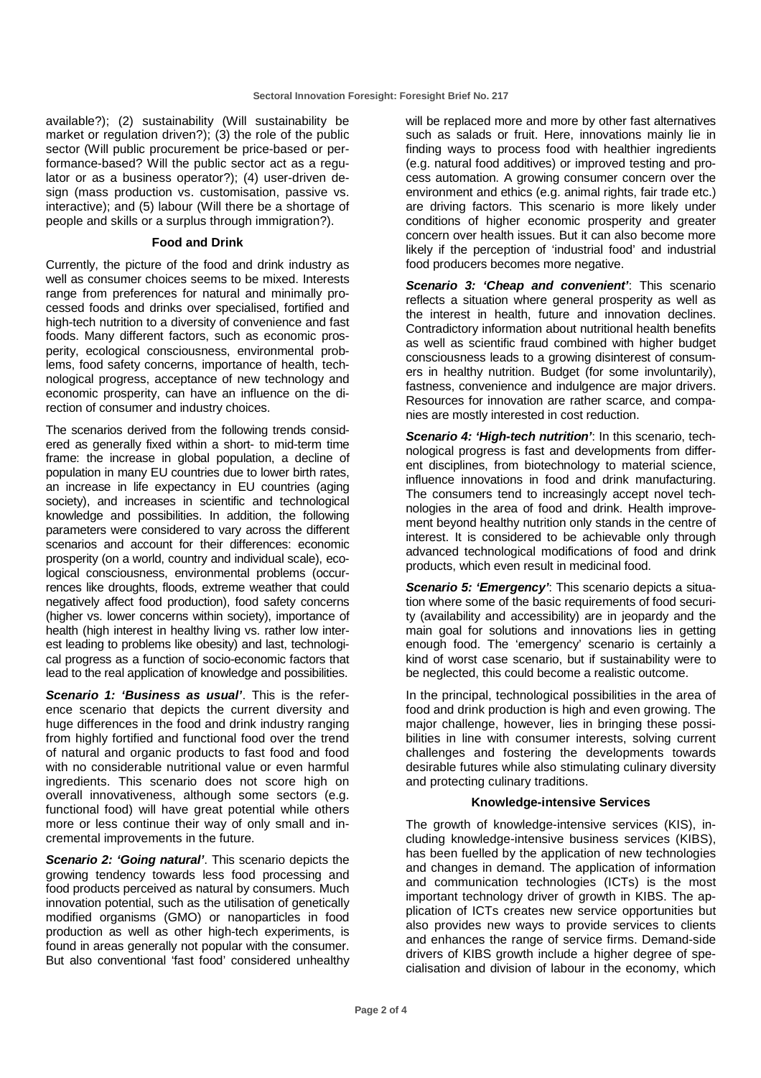available?); (2) sustainability (Will sustainability be market or regulation driven?); (3) the role of the public sector (Will public procurement be price-based or performance-based? Will the public sector act as a regulator or as a business operator?); (4) user-driven design (mass production vs. customisation, passive vs. interactive); and (5) labour (Will there be a shortage of people and skills or a surplus through immigration?).

#### **Food and Drink**

Currently, the picture of the food and drink industry as well as consumer choices seems to be mixed. Interests range from preferences for natural and minimally processed foods and drinks over specialised, fortified and high-tech nutrition to a diversity of convenience and fast foods. Many different factors, such as economic prosperity, ecological consciousness, environmental problems, food safety concerns, importance of health, technological progress, acceptance of new technology and economic prosperity, can have an influence on the direction of consumer and industry choices.

The scenarios derived from the following trends considered as generally fixed within a short- to mid-term time frame: the increase in global population, a decline of population in many EU countries due to lower birth rates, an increase in life expectancy in EU countries (aging society), and increases in scientific and technological knowledge and possibilities. In addition, the following parameters were considered to vary across the different scenarios and account for their differences: economic prosperity (on a world, country and individual scale), ecological consciousness, environmental problems (occurrences like droughts, floods, extreme weather that could negatively affect food production), food safety concerns (higher vs. lower concerns within society), importance of health (high interest in healthy living vs. rather low interest leading to problems like obesity) and last, technological progress as a function of socio-economic factors that lead to the real application of knowledge and possibilities.

**Scenario 1: 'Business as usual'**. This is the reference scenario that depicts the current diversity and huge differences in the food and drink industry ranging from highly fortified and functional food over the trend of natural and organic products to fast food and food with no considerable nutritional value or even harmful ingredients. This scenario does not score high on overall innovativeness, although some sectors (e.g. functional food) will have great potential while others more or less continue their way of only small and incremental improvements in the future.

**Scenario 2: 'Going natural'**. This scenario depicts the growing tendency towards less food processing and food products perceived as natural by consumers. Much innovation potential, such as the utilisation of genetically modified organisms (GMO) or nanoparticles in food production as well as other high-tech experiments, is found in areas generally not popular with the consumer. But also conventional 'fast food' considered unhealthy will be replaced more and more by other fast alternatives such as salads or fruit. Here, innovations mainly lie in finding ways to process food with healthier ingredients (e.g. natural food additives) or improved testing and process automation. A growing consumer concern over the environment and ethics (e.g. animal rights, fair trade etc.) are driving factors. This scenario is more likely under conditions of higher economic prosperity and greater concern over health issues. But it can also become more likely if the perception of 'industrial food' and industrial food producers becomes more negative.

**Scenario 3: 'Cheap and convenient'**: This scenario reflects a situation where general prosperity as well as the interest in health, future and innovation declines. Contradictory information about nutritional health benefits as well as scientific fraud combined with higher budget consciousness leads to a growing disinterest of consumers in healthy nutrition. Budget (for some involuntarily), fastness, convenience and indulgence are major drivers. Resources for innovation are rather scarce, and companies are mostly interested in cost reduction.

**Scenario 4: 'High-tech nutrition'**: In this scenario, technological progress is fast and developments from different disciplines, from biotechnology to material science, influence innovations in food and drink manufacturing. The consumers tend to increasingly accept novel technologies in the area of food and drink. Health improvement beyond healthy nutrition only stands in the centre of interest. It is considered to be achievable only through advanced technological modifications of food and drink products, which even result in medicinal food.

**Scenario 5: 'Emergency':** This scenario depicts a situation where some of the basic requirements of food security (availability and accessibility) are in jeopardy and the main goal for solutions and innovations lies in getting enough food. The 'emergency' scenario is certainly a kind of worst case scenario, but if sustainability were to be neglected, this could become a realistic outcome.

In the principal, technological possibilities in the area of food and drink production is high and even growing. The major challenge, however, lies in bringing these possibilities in line with consumer interests, solving current challenges and fostering the developments towards desirable futures while also stimulating culinary diversity and protecting culinary traditions.

## **Knowledge-intensive Services**

The growth of knowledge-intensive services (KIS), including knowledge-intensive business services (KIBS), has been fuelled by the application of new technologies and changes in demand. The application of information and communication technologies (ICTs) is the most important technology driver of growth in KIBS. The application of ICTs creates new service opportunities but also provides new ways to provide services to clients and enhances the range of service firms. Demand-side drivers of KIBS growth include a higher degree of specialisation and division of labour in the economy, which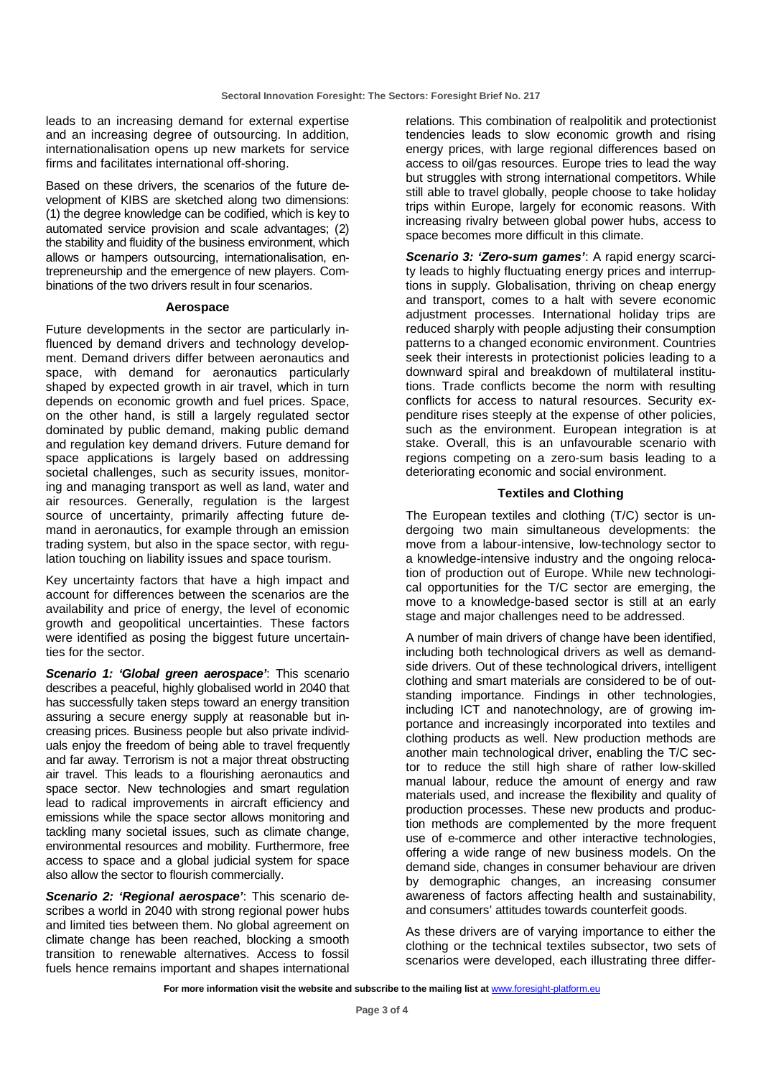leads to an increasing demand for external expertise and an increasing degree of outsourcing. In addition, internationalisation opens up new markets for service firms and facilitates international off-shoring.

Based on these drivers, the scenarios of the future development of KIBS are sketched along two dimensions: (1) the degree knowledge can be codified, which is key to automated service provision and scale advantages; (2) the stability and fluidity of the business environment, which allows or hampers outsourcing, internationalisation, entrepreneurship and the emergence of new players. Combinations of the two drivers result in four scenarios.

#### **Aerospace**

Future developments in the sector are particularly influenced by demand drivers and technology development. Demand drivers differ between aeronautics and space, with demand for aeronautics particularly shaped by expected growth in air travel, which in turn depends on economic growth and fuel prices. Space, on the other hand, is still a largely regulated sector dominated by public demand, making public demand and regulation key demand drivers. Future demand for space applications is largely based on addressing societal challenges, such as security issues, monitoring and managing transport as well as land, water and air resources. Generally, regulation is the largest source of uncertainty, primarily affecting future demand in aeronautics, for example through an emission trading system, but also in the space sector, with regulation touching on liability issues and space tourism.

Key uncertainty factors that have a high impact and account for differences between the scenarios are the availability and price of energy, the level of economic growth and geopolitical uncertainties. These factors were identified as posing the biggest future uncertainties for the sector.

**Scenario 1: 'Global green aerospace'**: This scenario describes a peaceful, highly globalised world in 2040 that has successfully taken steps toward an energy transition assuring a secure energy supply at reasonable but increasing prices. Business people but also private individuals enjoy the freedom of being able to travel frequently and far away. Terrorism is not a major threat obstructing air travel. This leads to a flourishing aeronautics and space sector. New technologies and smart regulation lead to radical improvements in aircraft efficiency and emissions while the space sector allows monitoring and tackling many societal issues, such as climate change, environmental resources and mobility. Furthermore, free access to space and a global judicial system for space also allow the sector to flourish commercially.

**Scenario 2: 'Regional aerospace'**: This scenario describes a world in 2040 with strong regional power hubs and limited ties between them. No global agreement on climate change has been reached, blocking a smooth transition to renewable alternatives. Access to fossil fuels hence remains important and shapes international

relations. This combination of realpolitik and protectionist tendencies leads to slow economic growth and rising energy prices, with large regional differences based on access to oil/gas resources. Europe tries to lead the way but struggles with strong international competitors. While still able to travel globally, people choose to take holiday trips within Europe, largely for economic reasons. With increasing rivalry between global power hubs, access to space becomes more difficult in this climate.

**Scenario 3: 'Zero-sum games'**: A rapid energy scarcity leads to highly fluctuating energy prices and interruptions in supply. Globalisation, thriving on cheap energy and transport, comes to a halt with severe economic adjustment processes. International holiday trips are reduced sharply with people adjusting their consumption patterns to a changed economic environment. Countries seek their interests in protectionist policies leading to a downward spiral and breakdown of multilateral institutions. Trade conflicts become the norm with resulting conflicts for access to natural resources. Security expenditure rises steeply at the expense of other policies, such as the environment. European integration is at stake. Overall, this is an unfavourable scenario with regions competing on a zero-sum basis leading to a deteriorating economic and social environment.

#### **Textiles and Clothing**

The European textiles and clothing (T/C) sector is undergoing two main simultaneous developments: the move from a labour-intensive, low-technology sector to a knowledge-intensive industry and the ongoing relocation of production out of Europe. While new technological opportunities for the T/C sector are emerging, the move to a knowledge-based sector is still at an early stage and major challenges need to be addressed.

A number of main drivers of change have been identified, including both technological drivers as well as demandside drivers. Out of these technological drivers, intelligent clothing and smart materials are considered to be of outstanding importance. Findings in other technologies, including ICT and nanotechnology, are of growing importance and increasingly incorporated into textiles and clothing products as well. New production methods are another main technological driver, enabling the T/C sector to reduce the still high share of rather low-skilled manual labour, reduce the amount of energy and raw materials used, and increase the flexibility and quality of production processes. These new products and production methods are complemented by the more frequent use of e-commerce and other interactive technologies, offering a wide range of new business models. On the demand side, changes in consumer behaviour are driven by demographic changes, an increasing consumer awareness of factors affecting health and sustainability, and consumers' attitudes towards counterfeit goods.

As these drivers are of varying importance to either the clothing or the technical textiles subsector, two sets of scenarios were developed, each illustrating three differ-

For more information visit the website and subscribe to the mailing list at **www.foresight-platform.eu**